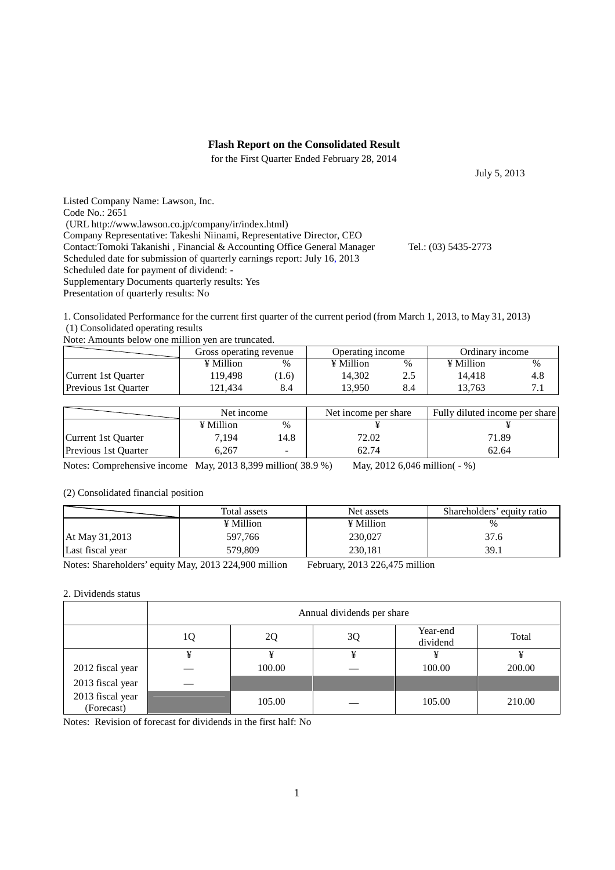### **Flash Report on the Consolidated Result**

for the First Quarter Ended February 28, 2014

Listed Company Name: Lawson, Inc. Code No.: 2651 (URL http://www.lawson.co.jp/company/ir/index.html) Company Representative: Takeshi Niinami, Representative Director, CEO Contact:Tomoki Takanishi , Financial & Accounting Office General Manager Tel.: (03) 5435-2773 Scheduled date for submission of quarterly earnings report: July 16, 2013 Scheduled date for payment of dividend: - Supplementary Documents quarterly results: Yes

Presentation of quarterly results: No

1. Consolidated Performance for the current first quarter of the current period (from March 1, 2013, to May 31, 2013) (1) Consolidated operating results

Note: Amounts below one million yen are truncated.

|                             | Gross operating revenue |      | Operating income |     | Ordinary income  |      |
|-----------------------------|-------------------------|------|------------------|-----|------------------|------|
|                             | ¥ Million               | $\%$ | ¥ Million        | %   | $\angle$ Million | $\%$ |
| Current 1st Ouarter         | 119.498                 | 1.6) | 14.302           | 2.5 | 14.418           | 4.8  |
| <b>Previous 1st Quarter</b> | ' 21.434                | 8.4  | 13.950           | 8.4 | 13.763           |      |

|                             | Net income |      | Net income per share | Fully diluted income per share |  |
|-----------------------------|------------|------|----------------------|--------------------------------|--|
|                             | ¥ Million  | $\%$ |                      |                                |  |
| Current 1st Ouarter         | 7.194      | .4.8 | 72.02                | 71.89                          |  |
| <b>Previous 1st Quarter</b> | 6.267      |      | 62.74                | 62.64                          |  |

Notes: Comprehensive income May, 2013 8,399 million( 38.9 %) May, 2012 6,046 million( - %)

#### (2) Consolidated financial position

|                  | Total assets | Net assets | Shareholders' equity ratio |
|------------------|--------------|------------|----------------------------|
|                  | ¥ Million    | ¥ Million  | $\frac{0}{0}$              |
| At May 31,2013   | 597.766      | 230,027    | 37.6                       |
| Last fiscal year | 579,809      | 230.181    | 39.1                       |

Notes: Shareholders' equity May, 2013 224,900 million February, 2013 226,475 million

#### 2. Dividends status

|                                | Annual dividends per share |        |    |                      |        |  |  |
|--------------------------------|----------------------------|--------|----|----------------------|--------|--|--|
|                                | 1Q                         | 2Q     | 3Q | Year-end<br>dividend | Total  |  |  |
|                                | ¥                          | ¥      | ¥  |                      |        |  |  |
| 2012 fiscal year               |                            | 100.00 |    | 100.00               | 200.00 |  |  |
| 2013 fiscal year               |                            |        |    |                      |        |  |  |
| 2013 fiscal year<br>(Forecast) |                            | 105.00 |    | 105.00               | 210.00 |  |  |

Notes: Revision of forecast for dividends in the first half: No

July 5, 2013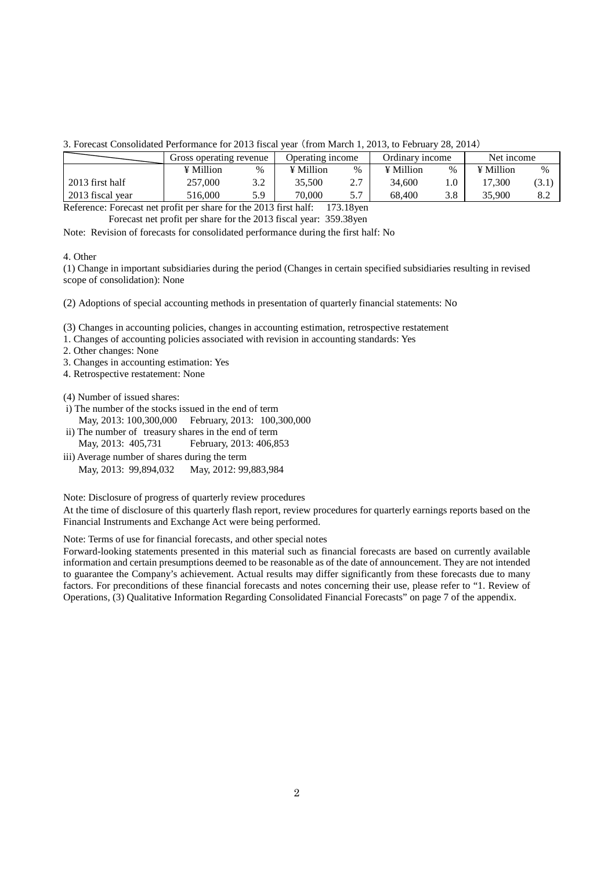3. Forecast Consolidated Performance for 2013 fiscal year (from March 1, 2013, to February 28, 2014)

|                  | Gross operating revenue |      | Operating income |      | Ordinary income |      | Net income |       |
|------------------|-------------------------|------|------------------|------|-----------------|------|------------|-------|
|                  | ¥ Million               | $\%$ | ¥ Million        | $\%$ | ¥ Million       | $\%$ | ¥ Million  | %     |
| 2013 first half  | 257,000                 | 3.2  | 35.500           | 2.7  | 34,600          |      | 17.300     | (3.1) |
| 2013 fiscal year | 516.000                 | 5.9  | 70.000           | 5.7  | 68.400          | 3.8  | 35,900     | 8.2   |
| 172.10           |                         |      |                  |      |                 |      |            |       |

Reference: Forecast net profit per share for the 2013 first half: 173.18yen Forecast net profit per share for the 2013 fiscal year: 359.38yen

Note: Revision of forecasts for consolidated performance during the first half: No

4. Other

(1) Change in important subsidiaries during the period (Changes in certain specified subsidiaries resulting in revised scope of consolidation): None

(2) Adoptions of special accounting methods in presentation of quarterly financial statements: No

(3) Changes in accounting policies, changes in accounting estimation, retrospective restatement

1. Changes of accounting policies associated with revision in accounting standards: Yes

2. Other changes: None

3. Changes in accounting estimation: Yes

4. Retrospective restatement: None

(4) Number of issued shares:

- i) The number of the stocks issued in the end of term May, 2013: 100,300,000 February, 2013: 100,300,000
- ii) The number of treasury shares in the end of term May, 2013: 405,731 February, 2013: 406,853
- iii) Average number of shares during the term May, 2013: 99,894,032 May, 2012: 99,883,984

Note: Disclosure of progress of quarterly review procedures

At the time of disclosure of this quarterly flash report, review procedures for quarterly earnings reports based on the Financial Instruments and Exchange Act were being performed.

Note: Terms of use for financial forecasts, and other special notes

Forward-looking statements presented in this material such as financial forecasts are based on currently available information and certain presumptions deemed to be reasonable as of the date of announcement. They are not intended to guarantee the Company's achievement. Actual results may differ significantly from these forecasts due to many factors. For preconditions of these financial forecasts and notes concerning their use, please refer to "1. Review of Operations, (3) Qualitative Information Regarding Consolidated Financial Forecasts" on page 7 of the appendix.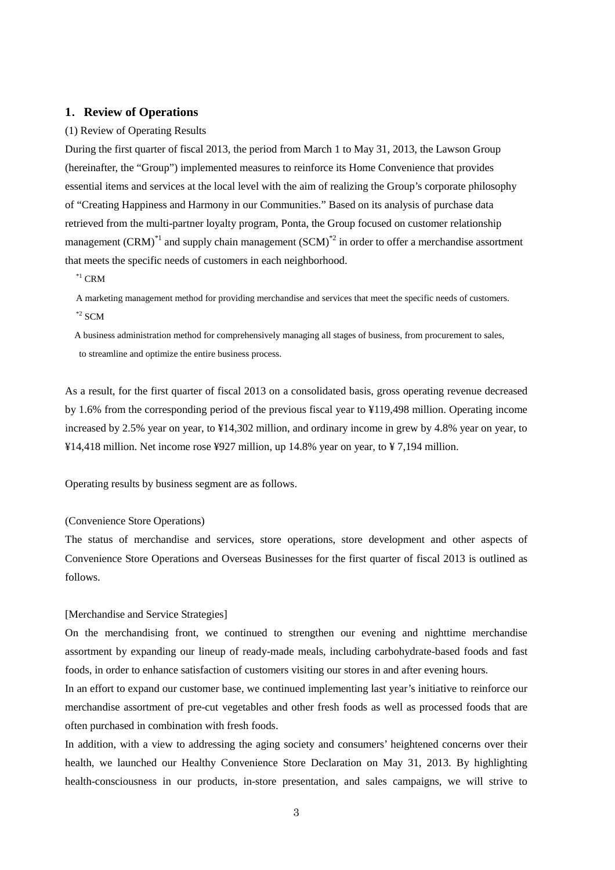### **1**.**Review of Operations**

#### (1) Review of Operating Results

During the first quarter of fiscal 2013, the period from March 1 to May 31, 2013, the Lawson Group (hereinafter, the "Group") implemented measures to reinforce its Home Convenience that provides essential items and services at the local level with the aim of realizing the Group's corporate philosophy of "Creating Happiness and Harmony in our Communities." Based on its analysis of purchase data retrieved from the multi-partner loyalty program, Ponta, the Group focused on customer relationship management (CRM)<sup>\*1</sup> and supply chain management (SCM)<sup>\*2</sup> in order to offer a merchandise assortment that meets the specific needs of customers in each neighborhood.

 $^{\ast1}$  CRM

A marketing management method for providing merchandise and services that meet the specific needs of customers.  $*$ <sup>2</sup> SCM

A business administration method for comprehensively managing all stages of business, from procurement to sales, to streamline and optimize the entire business process.

As a result, for the first quarter of fiscal 2013 on a consolidated basis, gross operating revenue decreased by 1.6% from the corresponding period of the previous fiscal year to ¥119,498 million. Operating income increased by 2.5% year on year, to ¥14,302 million, and ordinary income in grew by 4.8% year on year, to ¥14,418 million. Net income rose ¥927 million, up 14.8% year on year, to ¥ 7,194 million.

Operating results by business segment are as follows.

#### (Convenience Store Operations)

The status of merchandise and services, store operations, store development and other aspects of Convenience Store Operations and Overseas Businesses for the first quarter of fiscal 2013 is outlined as follows.

#### [Merchandise and Service Strategies]

On the merchandising front, we continued to strengthen our evening and nighttime merchandise assortment by expanding our lineup of ready-made meals, including carbohydrate-based foods and fast foods, in order to enhance satisfaction of customers visiting our stores in and after evening hours.

In an effort to expand our customer base, we continued implementing last year's initiative to reinforce our merchandise assortment of pre-cut vegetables and other fresh foods as well as processed foods that are often purchased in combination with fresh foods.

In addition, with a view to addressing the aging society and consumers' heightened concerns over their health, we launched our Healthy Convenience Store Declaration on May 31, 2013. By highlighting health-consciousness in our products, in-store presentation, and sales campaigns, we will strive to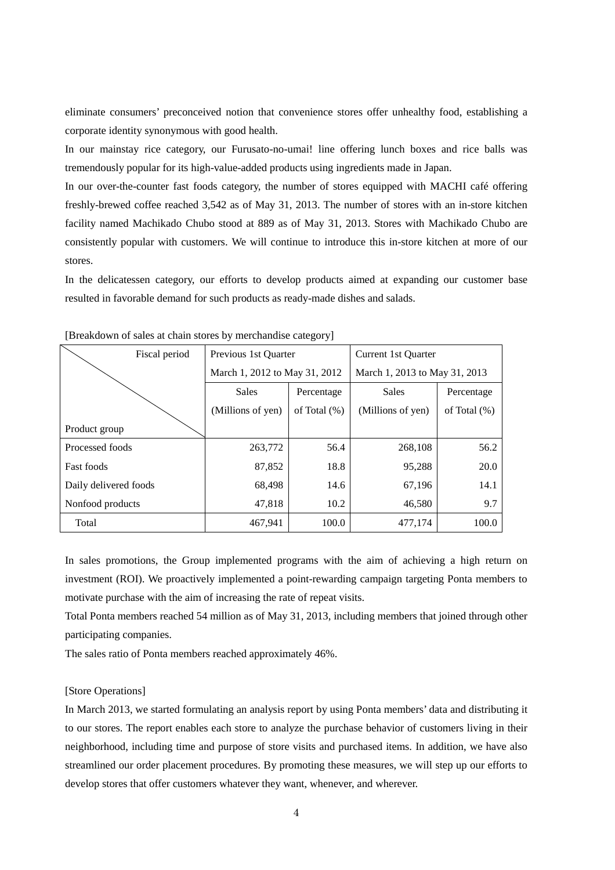eliminate consumers' preconceived notion that convenience stores offer unhealthy food, establishing a corporate identity synonymous with good health.

In our mainstay rice category, our Furusato-no-umai! line offering lunch boxes and rice balls was tremendously popular for its high-value-added products using ingredients made in Japan.

In our over-the-counter fast foods category, the number of stores equipped with MACHI café offering freshly-brewed coffee reached 3,542 as of May 31, 2013. The number of stores with an in-store kitchen facility named Machikado Chubo stood at 889 as of May 31, 2013. Stores with Machikado Chubo are consistently popular with customers. We will continue to introduce this in-store kitchen at more of our stores.

In the delicatessen category, our efforts to develop products aimed at expanding our customer base resulted in favorable demand for such products as ready-made dishes and salads.

| Fiscal period         | Previous 1st Ouarter                 |       | Current 1st Ouarter           |                 |  |  |  |
|-----------------------|--------------------------------------|-------|-------------------------------|-----------------|--|--|--|
|                       | March 1, 2012 to May 31, 2012        |       | March 1, 2013 to May 31, 2013 |                 |  |  |  |
|                       | <b>Sales</b><br>Percentage           |       | <b>Sales</b>                  | Percentage      |  |  |  |
|                       | (Millions of yen)<br>of Total $(\%)$ |       | (Millions of yen)             | of Total $(\%)$ |  |  |  |
| Product group         |                                      |       |                               |                 |  |  |  |
| Processed foods       | 263,772                              | 56.4  | 268,108                       | 56.2            |  |  |  |
| <b>Fast foods</b>     | 87,852                               | 18.8  | 95,288                        | 20.0            |  |  |  |
| Daily delivered foods | 68,498                               | 14.6  | 67,196                        | 14.1            |  |  |  |
| Nonfood products      | 47,818                               | 10.2  | 46,580                        | 9.7             |  |  |  |
| Total                 | 467.941                              | 100.0 | 477,174                       | 100.0           |  |  |  |

[Breakdown of sales at chain stores by merchandise category]

In sales promotions, the Group implemented programs with the aim of achieving a high return on investment (ROI). We proactively implemented a point-rewarding campaign targeting Ponta members to motivate purchase with the aim of increasing the rate of repeat visits.

Total Ponta members reached 54 million as of May 31, 2013, including members that joined through other participating companies.

The sales ratio of Ponta members reached approximately 46%.

### [Store Operations]

In March 2013, we started formulating an analysis report by using Ponta members' data and distributing it to our stores. The report enables each store to analyze the purchase behavior of customers living in their neighborhood, including time and purpose of store visits and purchased items. In addition, we have also streamlined our order placement procedures. By promoting these measures, we will step up our efforts to develop stores that offer customers whatever they want, whenever, and wherever.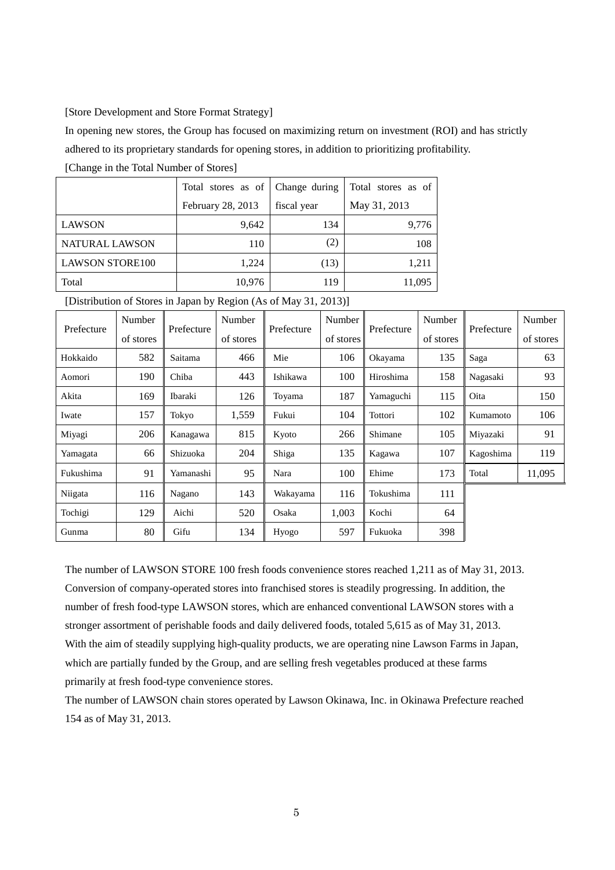### [Store Development and Store Format Strategy]

In opening new stores, the Group has focused on maximizing return on investment (ROI) and has strictly adhered to its proprietary standards for opening stores, in addition to prioritizing profitability.

[Change in the Total Number of Stores]

|                        | Total stores as of | Change during | Total stores as of |
|------------------------|--------------------|---------------|--------------------|
|                        | February 28, 2013  | fiscal year   | May 31, 2013       |
| <b>LAWSON</b>          | 9,642              | 134           | 9,776              |
| NATURAL LAWSON         | 110                | (2)           | 108                |
| <b>LAWSON STORE100</b> | 1,224              | (13)          | 1,211              |
| Total                  | 10,976             | 119           | 11,095             |

[Distribution of Stores in Japan by Region (As of May 31, 2013)]

| Prefecture | Number    | Prefecture | Number    | Prefecture | Number    | Prefecture | Number    | Prefecture | Number    |
|------------|-----------|------------|-----------|------------|-----------|------------|-----------|------------|-----------|
|            | of stores |            | of stores |            | of stores |            | of stores |            | of stores |
| Hokkaido   | 582       | Saitama    | 466       | Mie        | 106       | Okayama    | 135       | Saga       | 63        |
| Aomori     | 190       | Chiba      | 443       | Ishikawa   | 100       | Hiroshima  | 158       | Nagasaki   | 93        |
| Akita      | 169       | Ibaraki    | 126       | Toyama     | 187       | Yamaguchi  | 115       | Oita       | 150       |
| Iwate      | 157       | Tokyo      | 1,559     | Fukui      | 104       | Tottori    | 102       | Kumamoto   | 106       |
| Miyagi     | 206       | Kanagawa   | 815       | Kyoto      | 266       | Shimane    | 105       | Miyazaki   | 91        |
| Yamagata   | 66        | Shizuoka   | 204       | Shiga      | 135       | Kagawa     | 107       | Kagoshima  | 119       |
| Fukushima  | 91        | Yamanashi  | 95        | Nara       | 100       | Ehime      | 173       | Total      | 11,095    |
| Niigata    | 116       | Nagano     | 143       | Wakayama   | 116       | Tokushima  | 111       |            |           |
| Tochigi    | 129       | Aichi      | 520       | Osaka      | 1,003     | Kochi      | 64        |            |           |
| Gunma      | 80        | Gifu       | 134       | Hyogo      | 597       | Fukuoka    | 398       |            |           |

The number of LAWSON STORE 100 fresh foods convenience stores reached 1,211 as of May 31, 2013. Conversion of company-operated stores into franchised stores is steadily progressing. In addition, the number of fresh food-type LAWSON stores, which are enhanced conventional LAWSON stores with a stronger assortment of perishable foods and daily delivered foods, totaled 5,615 as of May 31, 2013. With the aim of steadily supplying high-quality products, we are operating nine Lawson Farms in Japan, which are partially funded by the Group, and are selling fresh vegetables produced at these farms primarily at fresh food-type convenience stores.

The number of LAWSON chain stores operated by Lawson Okinawa, Inc. in Okinawa Prefecture reached 154 as of May 31, 2013.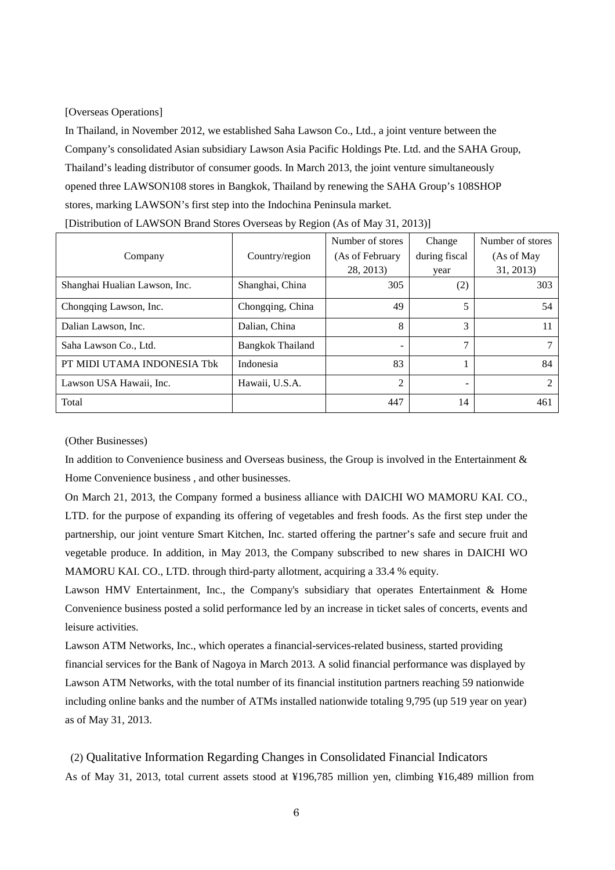[Overseas Operations]

In Thailand, in November 2012, we established Saha Lawson Co., Ltd., a joint venture between the Company's consolidated Asian subsidiary Lawson Asia Pacific Holdings Pte. Ltd. and the SAHA Group, Thailand's leading distributor of consumer goods. In March 2013, the joint venture simultaneously opened three LAWSON108 stores in Bangkok, Thailand by renewing the SAHA Group's 108SHOP stores, marking LAWSON's first step into the Indochina Peninsula market.

| Company                       | Country/region          | Number of stores<br>(As of February | Change<br>during fiscal | Number of stores<br>(As of May |
|-------------------------------|-------------------------|-------------------------------------|-------------------------|--------------------------------|
|                               |                         | 28, 2013)                           | year                    | 31, 2013)                      |
| Shanghai Hualian Lawson, Inc. | Shanghai, China         | 305                                 | (2)                     | 303                            |
| Chongqing Lawson, Inc.        | Chongqing, China        | 49                                  |                         | 54                             |
| Dalian Lawson, Inc.           | Dalian, China           | 8                                   | 3                       | 11                             |
| Saha Lawson Co., Ltd.         | <b>Bangkok Thailand</b> |                                     | ⇁                       | 7                              |
| PT MIDI UTAMA INDONESIA Tbk   | Indonesia               | 83                                  |                         | 84                             |
| Lawson USA Hawaii, Inc.       | Hawaii, U.S.A.          | C                                   |                         | 2                              |
| Total                         |                         | 447                                 | 14                      | 461                            |

[Distribution of LAWSON Brand Stores Overseas by Region (As of May 31, 2013)]

(Other Businesses)

In addition to Convenience business and Overseas business, the Group is involved in the Entertainment & Home Convenience business , and other businesses.

On March 21, 2013, the Company formed a business alliance with DAICHI WO MAMORU KAI. CO., LTD. for the purpose of expanding its offering of vegetables and fresh foods. As the first step under the partnership, our joint venture Smart Kitchen, Inc. started offering the partner's safe and secure fruit and vegetable produce. In addition, in May 2013, the Company subscribed to new shares in DAICHI WO MAMORU KAI. CO., LTD. through third-party allotment, acquiring a 33.4 % equity.

Lawson HMV Entertainment, Inc., the Company's subsidiary that operates Entertainment & Home Convenience business posted a solid performance led by an increase in ticket sales of concerts, events and leisure activities.

Lawson ATM Networks, Inc., which operates a financial-services-related business, started providing financial services for the Bank of Nagoya in March 2013. A solid financial performance was displayed by Lawson ATM Networks, with the total number of its financial institution partners reaching 59 nationwide including online banks and the number of ATMs installed nationwide totaling 9,795 (up 519 year on year) as of May 31, 2013.

 (2) Qualitative Information Regarding Changes in Consolidated Financial Indicators As of May 31, 2013, total current assets stood at ¥196,785 million yen, climbing ¥16,489 million from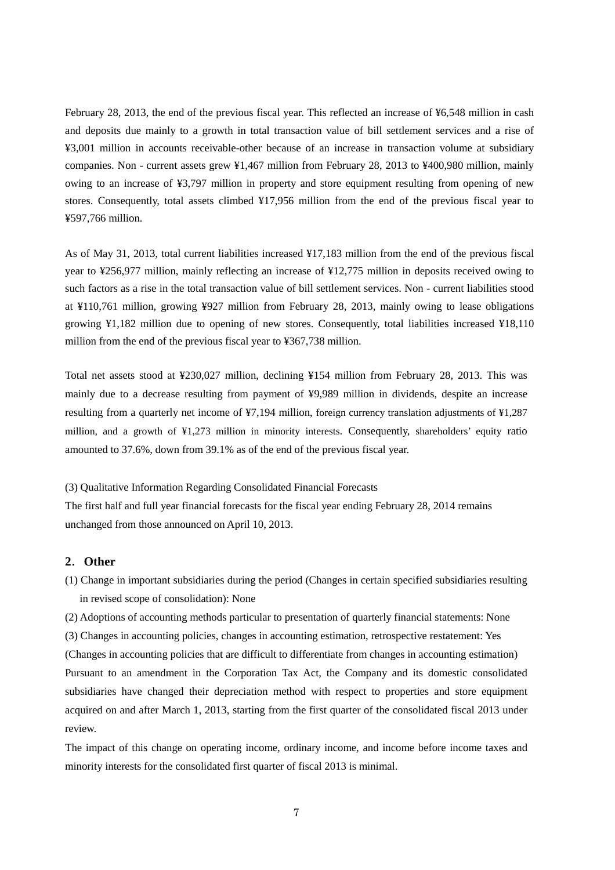February 28, 2013, the end of the previous fiscal year. This reflected an increase of ¥6,548 million in cash and deposits due mainly to a growth in total transaction value of bill settlement services and a rise of ¥3,001 million in accounts receivable-other because of an increase in transaction volume at subsidiary companies. Non - current assets grew ¥1,467 million from February 28, 2013 to ¥400,980 million, mainly owing to an increase of ¥3,797 million in property and store equipment resulting from opening of new stores. Consequently, total assets climbed ¥17,956 million from the end of the previous fiscal year to ¥597,766 million.

As of May 31, 2013, total current liabilities increased ¥17,183 million from the end of the previous fiscal year to ¥256,977 million, mainly reflecting an increase of ¥12,775 million in deposits received owing to such factors as a rise in the total transaction value of bill settlement services. Non - current liabilities stood at ¥110,761 million, growing ¥927 million from February 28, 2013, mainly owing to lease obligations growing ¥1,182 million due to opening of new stores. Consequently, total liabilities increased ¥18,110 million from the end of the previous fiscal year to ¥367,738 million.

Total net assets stood at ¥230,027 million, declining ¥154 million from February 28, 2013. This was mainly due to a decrease resulting from payment of ¥9,989 million in dividends, despite an increase resulting from a quarterly net income of ¥7,194 million, foreign currency translation adjustments of ¥1,287 million, and a growth of ¥1,273 million in minority interests. Consequently, shareholders' equity ratio amounted to 37.6%, down from 39.1% as of the end of the previous fiscal year.

(3) Qualitative Information Regarding Consolidated Financial Forecasts

The first half and full year financial forecasts for the fiscal year ending February 28, 2014 remains unchanged from those announced on April 10, 2013.

### **2**.**Other**

(1) Change in important subsidiaries during the period (Changes in certain specified subsidiaries resulting in revised scope of consolidation): None

(2) Adoptions of accounting methods particular to presentation of quarterly financial statements: None

(3) Changes in accounting policies, changes in accounting estimation, retrospective restatement: Yes (Changes in accounting policies that are difficult to differentiate from changes in accounting estimation) Pursuant to an amendment in the Corporation Tax Act, the Company and its domestic consolidated subsidiaries have changed their depreciation method with respect to properties and store equipment acquired on and after March 1, 2013, starting from the first quarter of the consolidated fiscal 2013 under review.

The impact of this change on operating income, ordinary income, and income before income taxes and minority interests for the consolidated first quarter of fiscal 2013 is minimal.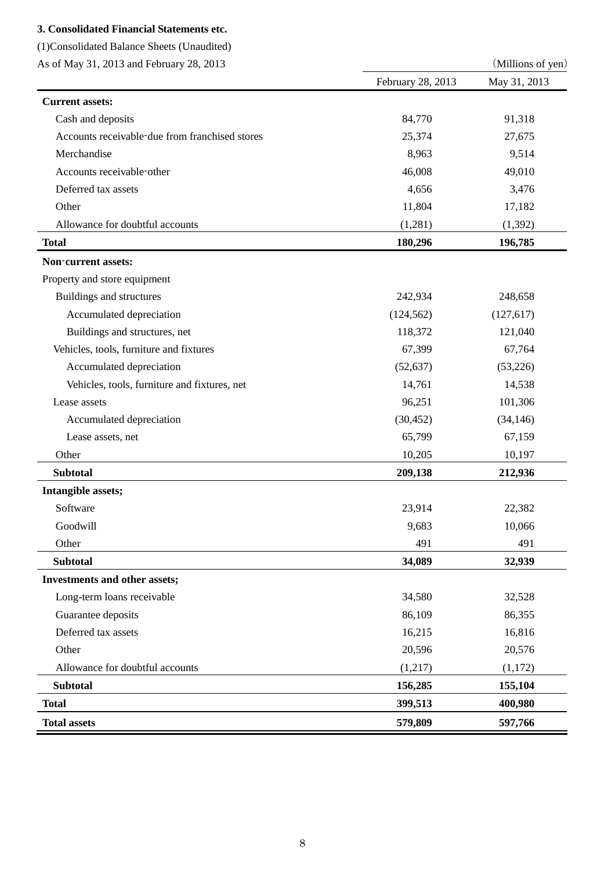## **3. Consolidated Financial Statements etc.**

(1)Consolidated Balance Sheets (Unaudited)

| As of May 31, 2013 and February 28, 2013       |                   | (Millions of yen) |  |
|------------------------------------------------|-------------------|-------------------|--|
|                                                | February 28, 2013 | May 31, 2013      |  |
| <b>Current assets:</b>                         |                   |                   |  |
| Cash and deposits                              | 84,770            | 91,318            |  |
| Accounts receivable-due from franchised stores | 25,374            | 27,675            |  |
| Merchandise                                    | 8,963             | 9,514             |  |
| Accounts receivable-other                      | 46,008            | 49,010            |  |
| Deferred tax assets                            | 4,656             | 3,476             |  |
| Other                                          | 11,804            | 17,182            |  |
| Allowance for doubtful accounts                | (1,281)           | (1, 392)          |  |
| <b>Total</b>                                   | 180,296           | 196,785           |  |
| <b>Non-current assets:</b>                     |                   |                   |  |
| Property and store equipment                   |                   |                   |  |
| Buildings and structures                       | 242,934           | 248,658           |  |
| Accumulated depreciation                       | (124, 562)        | (127,617)         |  |
| Buildings and structures, net                  | 118,372           | 121,040           |  |
| Vehicles, tools, furniture and fixtures        | 67,399            | 67,764            |  |
| Accumulated depreciation                       | (52, 637)         | (53,226)          |  |
| Vehicles, tools, furniture and fixtures, net   | 14,761            | 14,538            |  |
| Lease assets                                   | 96,251            | 101,306           |  |
| Accumulated depreciation                       | (30, 452)         | (34, 146)         |  |
| Lease assets, net                              | 65,799            | 67,159            |  |
| Other                                          | 10,205            | 10,197            |  |
| <b>Subtotal</b>                                | 209,138           | 212,936           |  |
| Intangible assets;                             |                   |                   |  |
| Software                                       | 23,914            | 22,382            |  |
| Goodwill                                       | 9,683             | 10,066            |  |
| Other                                          | 491               | 491               |  |
| <b>Subtotal</b>                                | 34,089            | 32,939            |  |
| Investments and other assets;                  |                   |                   |  |
| Long-term loans receivable                     | 34,580            | 32,528            |  |
| Guarantee deposits                             | 86,109            | 86,355            |  |
| Deferred tax assets                            | 16,215            | 16,816            |  |
| Other                                          | 20,596            | 20,576            |  |
| Allowance for doubtful accounts                | (1,217)           | (1,172)           |  |
| <b>Subtotal</b>                                | 156,285           | 155,104           |  |
| <b>Total</b>                                   | 399,513           | 400,980           |  |
| <b>Total assets</b>                            | 579,809           | 597,766           |  |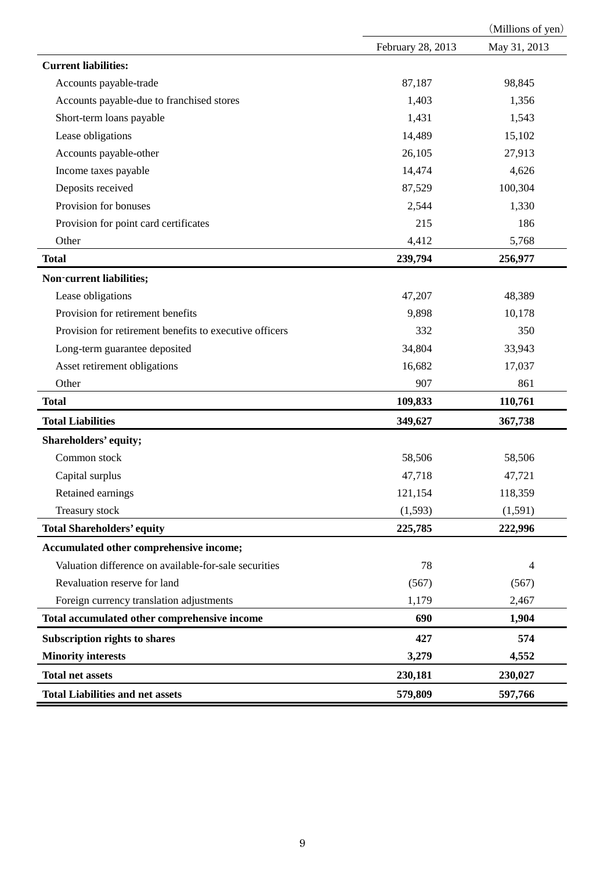|                                                         |                   | (Millions of yen) |  |
|---------------------------------------------------------|-------------------|-------------------|--|
|                                                         | February 28, 2013 | May 31, 2013      |  |
| <b>Current liabilities:</b>                             |                   |                   |  |
| Accounts payable-trade                                  | 87,187            | 98,845            |  |
| Accounts payable-due to franchised stores               | 1,403             | 1,356             |  |
| Short-term loans payable                                | 1,431             | 1,543             |  |
| Lease obligations                                       | 14,489            | 15,102            |  |
| Accounts payable-other                                  | 26,105            | 27,913            |  |
| Income taxes payable                                    | 14,474            | 4,626             |  |
| Deposits received                                       | 87,529            | 100,304           |  |
| Provision for bonuses                                   | 2,544             | 1,330             |  |
| Provision for point card certificates                   | 215               | 186               |  |
| Other                                                   | 4,412             | 5,768             |  |
| <b>Total</b>                                            | 239,794           | 256,977           |  |
| Non-current liabilities;                                |                   |                   |  |
| Lease obligations                                       | 47,207            | 48,389            |  |
| Provision for retirement benefits                       | 9,898             | 10,178            |  |
| Provision for retirement benefits to executive officers | 332               | 350               |  |
| Long-term guarantee deposited                           | 34,804            | 33,943            |  |
| Asset retirement obligations                            | 16,682            | 17,037            |  |
| Other                                                   | 907               | 861               |  |
| <b>Total</b>                                            | 109,833           | 110,761           |  |
| <b>Total Liabilities</b>                                | 349,627           | 367,738           |  |
| Shareholders' equity;                                   |                   |                   |  |
| Common stock                                            | 58,506            | 58,506            |  |
| Capital surplus                                         | 47,718            | 47,721            |  |
| Retained earnings                                       | 121,154           | 118,359           |  |
| Treasury stock                                          | (1,593)           | (1,591)           |  |
| <b>Total Shareholders' equity</b>                       | 225,785           | 222,996           |  |
| Accumulated other comprehensive income;                 |                   |                   |  |
| Valuation difference on available-for-sale securities   | 78                | $\overline{4}$    |  |
| Revaluation reserve for land                            | (567)             | (567)             |  |
| Foreign currency translation adjustments                | 1,179             | 2,467             |  |
| Total accumulated other comprehensive income            | 690               | 1,904             |  |
| <b>Subscription rights to shares</b>                    | 427               | 574               |  |
| <b>Minority interests</b>                               | 3,279             | 4,552             |  |
| <b>Total net assets</b>                                 | 230,181           | 230,027           |  |
| <b>Total Liabilities and net assets</b>                 | 579,809           | 597,766           |  |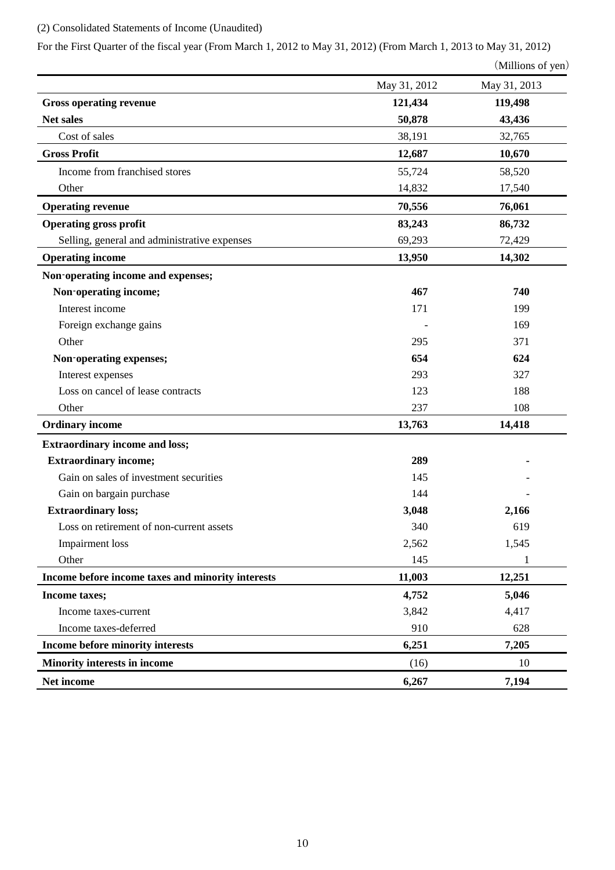# (2) Consolidated Statements of Income (Unaudited)

For the First Quarter of the fiscal year (From March 1, 2012 to May 31, 2012) (From March 1, 2013 to May 31, 2012)

```
(Millions of yen)
```

|                                                   | May 31, 2012 | May 31, 2013 |
|---------------------------------------------------|--------------|--------------|
| <b>Gross operating revenue</b>                    | 121,434      | 119,498      |
| Net sales                                         | 50,878       | 43,436       |
| Cost of sales                                     | 38,191       | 32,765       |
| <b>Gross Profit</b>                               | 12,687       | 10,670       |
| Income from franchised stores                     | 55,724       | 58,520       |
| Other                                             | 14,832       | 17,540       |
| <b>Operating revenue</b>                          | 70,556       | 76,061       |
| <b>Operating gross profit</b>                     | 83,243       | 86,732       |
| Selling, general and administrative expenses      | 69,293       | 72,429       |
| <b>Operating income</b>                           | 13,950       | 14,302       |
| Non-operating income and expenses;                |              |              |
| Non-operating income;                             | 467          | 740          |
| Interest income                                   | 171          | 199          |
| Foreign exchange gains                            |              | 169          |
| Other                                             | 295          | 371          |
| Non-operating expenses;                           | 654          | 624          |
| Interest expenses                                 | 293          | 327          |
| Loss on cancel of lease contracts                 | 123          | 188          |
| Other                                             | 237          | 108          |
| <b>Ordinary income</b>                            | 13,763       | 14,418       |
| <b>Extraordinary income and loss;</b>             |              |              |
| <b>Extraordinary income;</b>                      | 289          |              |
| Gain on sales of investment securities            | 145          |              |
| Gain on bargain purchase                          | 144          |              |
| <b>Extraordinary loss;</b>                        | 3,048        | 2,166        |
| Loss on retirement of non-current assets          | 340          | 619          |
| <b>Impairment</b> loss                            | 2,562        | 1,545        |
| Other                                             | 145          | 1            |
| Income before income taxes and minority interests | 11,003       | 12,251       |
| Income taxes;                                     | 4,752        | 5,046        |
| Income taxes-current                              | 3,842        | 4,417        |
| Income taxes-deferred                             | 910          | 628          |
| Income before minority interests                  | 6,251        | 7,205        |
| Minority interests in income                      | (16)         | 10           |
| Net income                                        | 6,267        | 7,194        |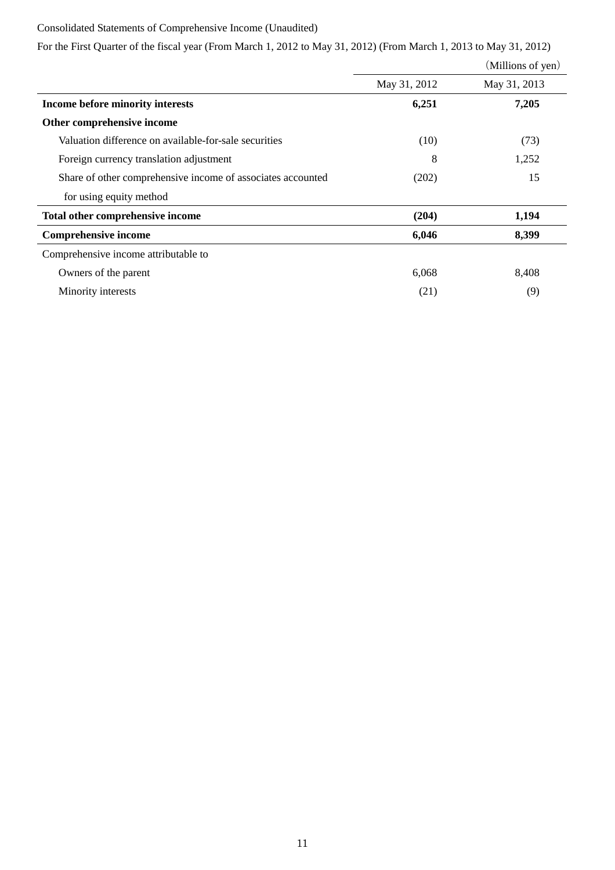## Consolidated Statements of Comprehensive Income (Unaudited)

For the First Quarter of the fiscal year (From March 1, 2012 to May 31, 2012) (From March 1, 2013 to May 31, 2012)

|                                                             |              | (Millions of yen) |
|-------------------------------------------------------------|--------------|-------------------|
|                                                             | May 31, 2012 | May 31, 2013      |
| Income before minority interests                            | 6,251        | 7,205             |
| Other comprehensive income                                  |              |                   |
| Valuation difference on available-for-sale securities       | (10)         | (73)              |
| Foreign currency translation adjustment                     | 8            | 1,252             |
| Share of other comprehensive income of associates accounted | (202)        | 15                |
| for using equity method                                     |              |                   |
| Total other comprehensive income                            | (204)        | 1,194             |
| <b>Comprehensive income</b>                                 | 6,046        | 8,399             |
| Comprehensive income attributable to                        |              |                   |
| Owners of the parent                                        | 6,068        | 8,408             |
| Minority interests                                          | (21)         | (9)               |